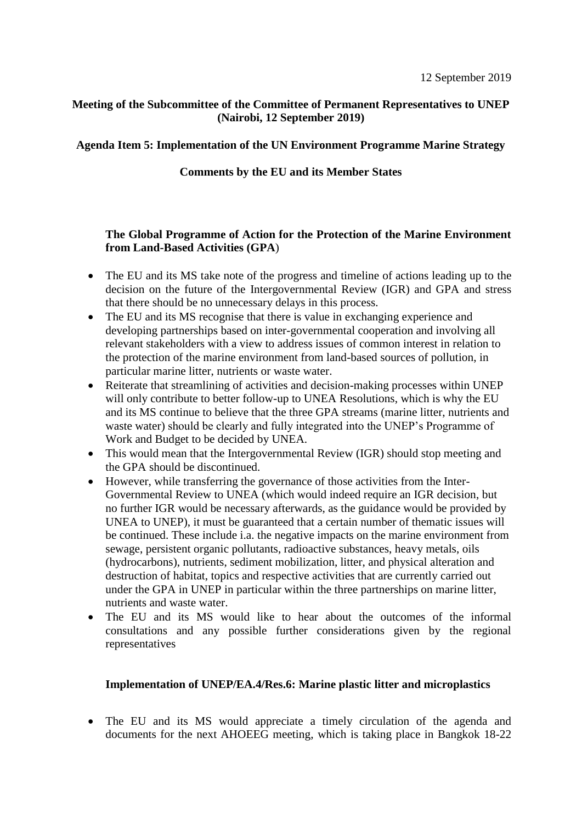## **Meeting of the Subcommittee of the Committee of Permanent Representatives to UNEP (Nairobi, 12 September 2019)**

## **Agenda Item 5: Implementation of the UN Environment Programme Marine Strategy**

## **Comments by the EU and its Member States**

# **The Global Programme of Action for the Protection of the Marine Environment from Land-Based Activities (GPA**)

- The EU and its MS take note of the progress and timeline of actions leading up to the decision on the future of the Intergovernmental Review (IGR) and GPA and stress that there should be no unnecessary delays in this process.
- The EU and its MS recognise that there is value in exchanging experience and developing partnerships based on inter-governmental cooperation and involving all relevant stakeholders with a view to address issues of common interest in relation to the protection of the marine environment from land-based sources of pollution, in particular marine litter, nutrients or waste water.
- Reiterate that streamlining of activities and decision-making processes within UNEP will only contribute to better follow-up to UNEA Resolutions, which is why the EU and its MS continue to believe that the three GPA streams (marine litter, nutrients and waste water) should be clearly and fully integrated into the UNEP's Programme of Work and Budget to be decided by UNEA.
- This would mean that the Intergovernmental Review (IGR) should stop meeting and the GPA should be discontinued.
- However, while transferring the governance of those activities from the Inter-Governmental Review to UNEA (which would indeed require an IGR decision, but no further IGR would be necessary afterwards, as the guidance would be provided by UNEA to UNEP), it must be guaranteed that a certain number of thematic issues will be continued. These include i.a. the negative impacts on the marine environment from sewage, persistent organic pollutants, radioactive substances, heavy metals, oils (hydrocarbons), nutrients, sediment mobilization, litter, and physical alteration and destruction of habitat, topics and respective activities that are currently carried out under the GPA in UNEP in particular within the three partnerships on marine litter, nutrients and waste water.
- The EU and its MS would like to hear about the outcomes of the informal consultations and any possible further considerations given by the regional representatives

## **Implementation of UNEP/EA.4/Res.6: Marine plastic litter and microplastics**

• The EU and its MS would appreciate a timely circulation of the agenda and documents for the next AHOEEG meeting, which is taking place in Bangkok 18-22